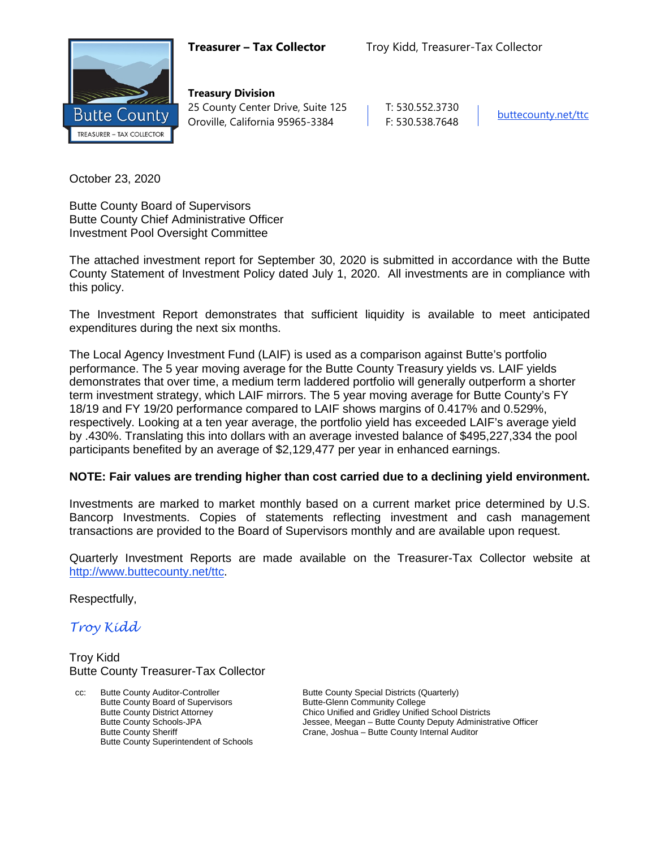

**Treasury Division** 25 County Center Drive, Suite 125 | T: 530.552.3730 Oroville, California 95965-3384 F: 530.538.7648 [buttecounty.net/t](http://www.buttecounty.net/administration)tc

October 23, 2020

Butte County Board of Supervisors Butte County Chief Administrative Officer Investment Pool Oversight Committee

The attached investment report for September 30, 2020 is submitted in accordance with the Butte County Statement of Investment Policy dated July 1, 2020. All investments are in compliance with this policy.

The Investment Report demonstrates that sufficient liquidity is available to meet anticipated expenditures during the next six months.

The Local Agency Investment Fund (LAIF) is used as a comparison against Butte's portfolio performance. The 5 year moving average for the Butte County Treasury yields vs. LAIF yields demonstrates that over time, a medium term laddered portfolio will generally outperform a shorter term investment strategy, which LAIF mirrors. The 5 year moving average for Butte County's FY 18/19 and FY 19/20 performance compared to LAIF shows margins of 0.417% and 0.529%, respectively. Looking at a ten year average, the portfolio yield has exceeded LAIF's average yield by .430%. Translating this into dollars with an average invested balance of \$495,227,334 the pool participants benefited by an average of \$2,129,477 per year in enhanced earnings.

### **NOTE: Fair values are trending higher than cost carried due to a declining yield environment.**

Investments are marked to market monthly based on a current market price determined by U.S. Bancorp Investments. Copies of statements reflecting investment and cash management transactions are provided to the Board of Supervisors monthly and are available upon request.

Quarterly Investment Reports are made available on the Treasurer-Tax Collector website at <http://www.buttecounty.net/ttc>.

Respectfully,

*Troy Kidd*

Troy Kidd Butte County Treasurer-Tax Collector

Butte County Auditor-Controller **Butte County Special Districts (Quarterly)** Butte County Special Districts (Quarterly) Butte County Board of Supervisors<br>
Butte County District Attorney<br>
Chico Unified and Gridley Unified Butte County Superintendent of Schools

Butte County District Attorney<br>
Butte County Schools-JPA<br>
Jessee, Meegan – Butte County Deputy Administr Butte County Schools-JPA **Jessee, Meegan – Butte County Deputy Administrative Officer**<br>
Crane, Joshua – Butte County Internal Auditor<br>
Drame, Joshua – Butte County Internal Auditor Crane, Joshua – Butte County Internal Auditor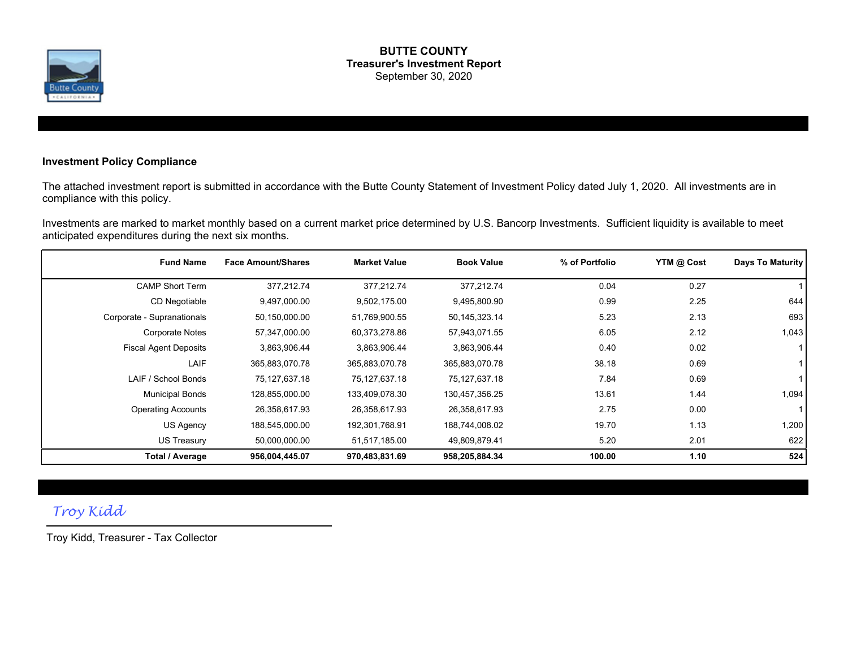

#### **BUTTE COUNTY Treasurer's Investment Report** September 30, 2020

### **Investment Policy Compliance**

The attached investment report is submitted in accordance with the Butte County Statement of Investment Policy dated July 1, 2020. All investments are in compliance with this policy.

Investments are marked to market monthly based on a current market price determined by U.S. Bancorp Investments. Sufficient liquidity is available to meet anticipated expenditures during the next six months.

| <b>Fund Name</b>             | <b>Face Amount/Shares</b> | <b>Market Value</b> | <b>Book Value</b> | % of Portfolio | YTM @ Cost | Days To Maturity |
|------------------------------|---------------------------|---------------------|-------------------|----------------|------------|------------------|
| <b>CAMP Short Term</b>       | 377,212.74                | 377.212.74          | 377.212.74        | 0.04           | 0.27       |                  |
| CD Negotiable                | 9,497,000.00              | 9,502,175.00        | 9,495,800.90      | 0.99           | 2.25       | 644              |
| Corporate - Supranationals   | 50,150,000.00             | 51,769,900.55       | 50,145,323.14     | 5.23           | 2.13       | 693              |
| <b>Corporate Notes</b>       | 57,347,000.00             | 60,373,278.86       | 57,943,071.55     | 6.05           | 2.12       | 1,043            |
| <b>Fiscal Agent Deposits</b> | 3,863,906.44              | 3,863,906.44        | 3,863,906.44      | 0.40           | 0.02       |                  |
| LAIF                         | 365,883,070.78            | 365,883,070.78      | 365,883,070.78    | 38.18          | 0.69       |                  |
| LAIF / School Bonds          | 75,127,637.18             | 75,127,637.18       | 75,127,637.18     | 7.84           | 0.69       |                  |
| <b>Municipal Bonds</b>       | 128,855,000.00            | 133,409,078.30      | 130,457,356.25    | 13.61          | 1.44       | 1,094            |
| <b>Operating Accounts</b>    | 26,358,617.93             | 26,358,617.93       | 26,358,617.93     | 2.75           | 0.00       |                  |
| US Agency                    | 188,545,000.00            | 192,301,768.91      | 188,744,008.02    | 19.70          | 1.13       | 1,200            |
| US Treasury                  | 50,000,000.00             | 51,517,185.00       | 49,809,879.41     | 5.20           | 2.01       | 622              |
| Total / Average              | 956,004,445.07            | 970,483,831.69      | 958,205,884.34    | 100.00         | 1.10       | 524              |

# *Troy Kidd*

Troy Kidd, Treasurer - Tax Collector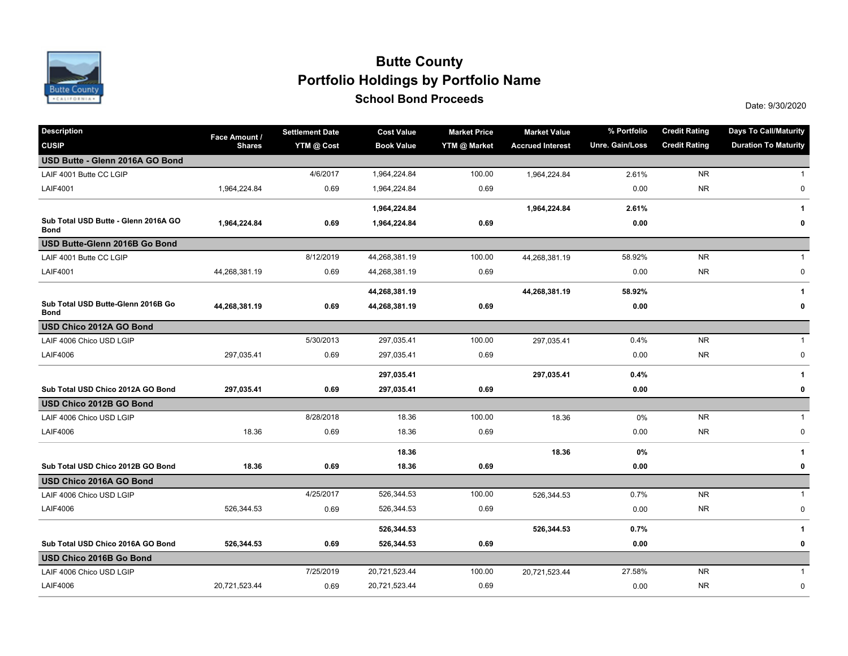

# **School Bond Proceeds School Bond Proceeds Portfolio Holdings by Portfolio Name Butte County**

| <b>Description</b>                                  | Face Amount / | <b>Settlement Date</b> | <b>Cost Value</b> | <b>Market Price</b> | <b>Market Value</b>     | % Portfolio     | <b>Credit Rating</b> | <b>Days To Call/Maturity</b> |
|-----------------------------------------------------|---------------|------------------------|-------------------|---------------------|-------------------------|-----------------|----------------------|------------------------------|
| <b>CUSIP</b>                                        | <b>Shares</b> | YTM @ Cost             | <b>Book Value</b> | YTM @ Market        | <b>Accrued Interest</b> | Unre. Gain/Loss | <b>Credit Rating</b> | <b>Duration To Maturity</b>  |
| USD Butte - Glenn 2016A GO Bond                     |               |                        |                   |                     |                         |                 |                      |                              |
| LAIF 4001 Butte CC LGIP                             |               | 4/6/2017               | 1,964,224.84      | 100.00              | 1,964,224.84            | 2.61%           | <b>NR</b>            | 1                            |
| <b>LAIF4001</b>                                     | 1,964,224.84  | 0.69                   | 1,964,224.84      | 0.69                |                         | 0.00            | <b>NR</b>            | 0                            |
|                                                     |               |                        | 1,964,224.84      |                     | 1,964,224.84            | 2.61%           |                      | $\mathbf{1}$                 |
| Sub Total USD Butte - Glenn 2016A GO<br><b>Bond</b> | 1,964,224.84  | 0.69                   | 1,964,224.84      | 0.69                |                         | 0.00            |                      | 0                            |
| USD Butte-Glenn 2016B Go Bond                       |               |                        |                   |                     |                         |                 |                      |                              |
| LAIF 4001 Butte CC LGIP                             |               | 8/12/2019              | 44,268,381.19     | 100.00              | 44,268,381.19           | 58.92%          | <b>NR</b>            | $\mathbf{1}$                 |
| <b>LAIF4001</b>                                     | 44,268,381.19 | 0.69                   | 44,268,381.19     | 0.69                |                         | 0.00            | <b>NR</b>            | $\pmb{0}$                    |
|                                                     |               |                        | 44,268,381.19     |                     | 44,268,381.19           | 58.92%          |                      | 1                            |
| Sub Total USD Butte-Glenn 2016B Go<br><b>Bond</b>   | 44,268,381.19 | 0.69                   | 44,268,381.19     | 0.69                |                         | 0.00            |                      | 0                            |
| USD Chico 2012A GO Bond                             |               |                        |                   |                     |                         |                 |                      |                              |
| LAIF 4006 Chico USD LGIP                            |               | 5/30/2013              | 297,035.41        | 100.00              | 297,035.41              | 0.4%            | <b>NR</b>            | $\mathbf{1}$                 |
| <b>LAIF4006</b>                                     | 297,035.41    | 0.69                   | 297,035.41        | 0.69                |                         | 0.00            | <b>NR</b>            | $\pmb{0}$                    |
|                                                     |               |                        | 297,035.41        |                     | 297,035.41              | 0.4%            |                      | 1                            |
| Sub Total USD Chico 2012A GO Bond                   | 297,035.41    | 0.69                   | 297,035.41        | 0.69                |                         | 0.00            |                      | 0                            |
| USD Chico 2012B GO Bond                             |               |                        |                   |                     |                         |                 |                      |                              |
| LAIF 4006 Chico USD LGIP                            |               | 8/28/2018              | 18.36             | 100.00              | 18.36                   | 0%              | <b>NR</b>            | $\mathbf{1}$                 |
| <b>LAIF4006</b>                                     | 18.36         | 0.69                   | 18.36             | 0.69                |                         | 0.00            | <b>NR</b>            | $\pmb{0}$                    |
|                                                     |               |                        | 18.36             |                     | 18.36                   | 0%              |                      | 1                            |
| Sub Total USD Chico 2012B GO Bond                   | 18.36         | 0.69                   | 18.36             | 0.69                |                         | 0.00            |                      | 0                            |
| USD Chico 2016A GO Bond                             |               |                        |                   |                     |                         |                 |                      |                              |
| LAIF 4006 Chico USD LGIP                            |               | 4/25/2017              | 526,344.53        | 100.00              | 526,344.53              | 0.7%            | <b>NR</b>            | $\mathbf{1}$                 |
| <b>LAIF4006</b>                                     | 526,344.53    | 0.69                   | 526,344.53        | 0.69                |                         | 0.00            | <b>NR</b>            | 0                            |
|                                                     |               |                        | 526,344.53        |                     | 526,344.53              | 0.7%            |                      | 1                            |
| Sub Total USD Chico 2016A GO Bond                   | 526,344.53    | 0.69                   | 526,344.53        | 0.69                |                         | 0.00            |                      | 0                            |
| USD Chico 2016B Go Bond                             |               |                        |                   |                     |                         |                 |                      |                              |
| LAIF 4006 Chico USD LGIP                            |               | 7/25/2019              | 20,721,523.44     | 100.00              | 20,721,523.44           | 27.58%          | <b>NR</b>            | $\mathbf{1}$                 |
| <b>LAIF4006</b>                                     | 20,721,523.44 | 0.69                   | 20,721,523.44     | 0.69                |                         | 0.00            | <b>NR</b>            | $\pmb{0}$                    |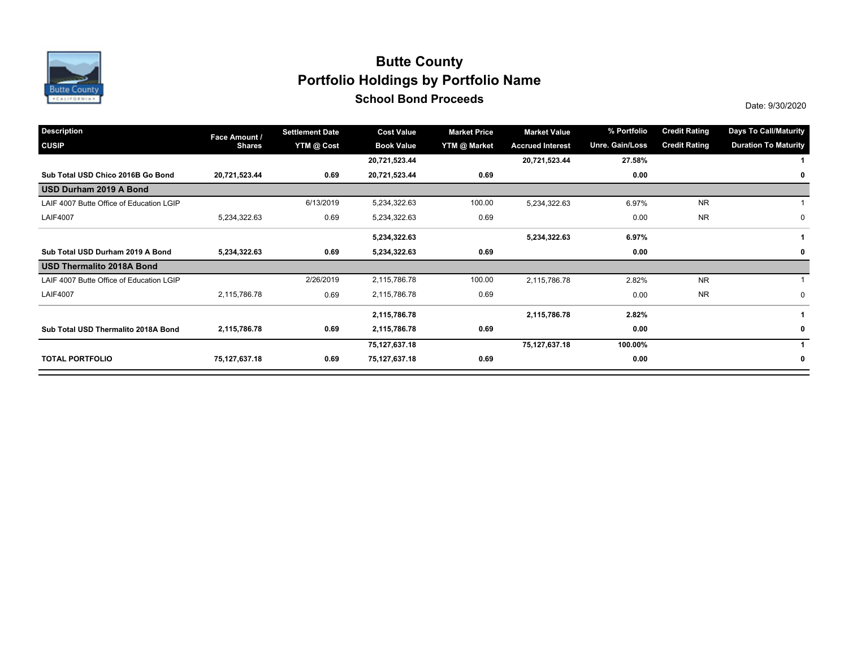

# **School Bond Proceeds School Bond Proceeds Portfolio Holdings by Portfolio Name Butte County**

| <b>Description</b>                       | Face Amount / | <b>Settlement Date</b> | <b>Cost Value</b> | <b>Market Price</b> | <b>Market Value</b>     | % Portfolio     | <b>Credit Rating</b> | <b>Days To Call/Maturity</b> |
|------------------------------------------|---------------|------------------------|-------------------|---------------------|-------------------------|-----------------|----------------------|------------------------------|
| <b>CUSIP</b>                             | <b>Shares</b> | YTM @ Cost             | <b>Book Value</b> | <b>YTM @ Market</b> | <b>Accrued Interest</b> | Unre. Gain/Loss | <b>Credit Rating</b> | <b>Duration To Maturity</b>  |
|                                          |               |                        | 20,721,523.44     |                     | 20,721,523.44           | 27.58%          |                      |                              |
| Sub Total USD Chico 2016B Go Bond        | 20,721,523.44 | 0.69                   | 20,721,523.44     | 0.69                |                         | 0.00            |                      | 0                            |
| USD Durham 2019 A Bond                   |               |                        |                   |                     |                         |                 |                      |                              |
| LAIF 4007 Butte Office of Education LGIP |               | 6/13/2019              | 5,234,322.63      | 100.00              | 5,234,322.63            | 6.97%           | <b>NR</b>            |                              |
| <b>LAIF4007</b>                          | 5,234,322.63  | 0.69                   | 5,234,322.63      | 0.69                |                         | 0.00            | <b>NR</b>            | 0                            |
|                                          |               |                        | 5,234,322.63      |                     | 5,234,322.63            | 6.97%           |                      |                              |
| Sub Total USD Durham 2019 A Bond         | 5,234,322.63  | 0.69                   | 5,234,322.63      | 0.69                |                         | 0.00            |                      | 0                            |
| USD Thermalito 2018A Bond                |               |                        |                   |                     |                         |                 |                      |                              |
| LAIF 4007 Butte Office of Education LGIP |               | 2/26/2019              | 2,115,786.78      | 100.00              | 2,115,786.78            | 2.82%           | <b>NR</b>            |                              |
| <b>LAIF4007</b>                          | 2,115,786.78  | 0.69                   | 2,115,786.78      | 0.69                |                         | 0.00            | <b>NR</b>            | 0                            |
|                                          |               |                        | 2,115,786.78      |                     | 2,115,786.78            | 2.82%           |                      |                              |
| Sub Total USD Thermalito 2018A Bond      | 2,115,786.78  | 0.69                   | 2,115,786.78      | 0.69                |                         | 0.00            |                      | $\mathbf 0$                  |
|                                          |               |                        | 75,127,637.18     |                     | 75,127,637.18           | 100.00%         |                      |                              |
| <b>TOTAL PORTFOLIO</b>                   | 75,127,637.18 | 0.69                   | 75,127,637.18     | 0.69                |                         | 0.00            |                      | $\mathbf 0$                  |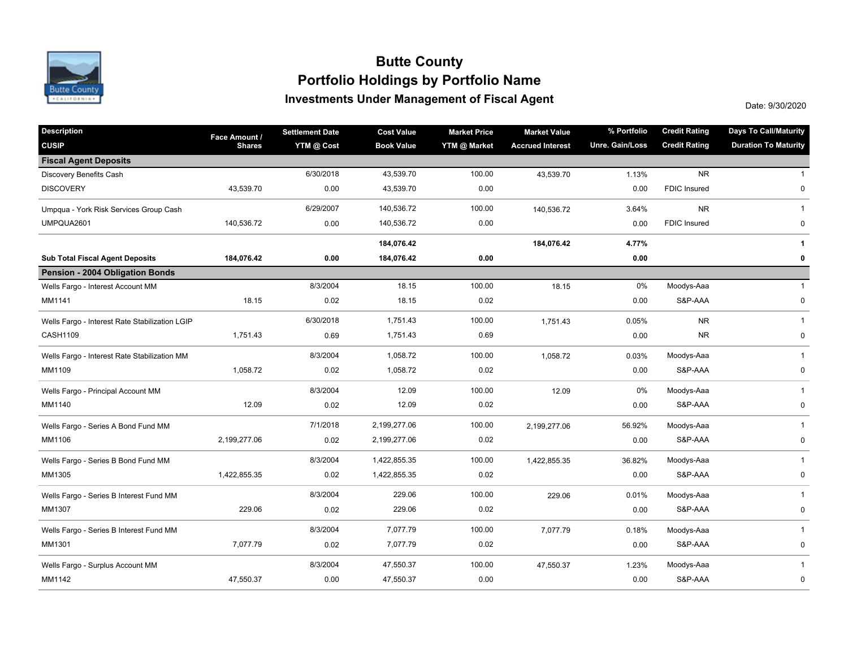

## **Investments Under Management of Fiscal Agent Portfolio Holdings by Portfolio Name Butte County**

Date: 9/30/2020

| <b>Description</b>                             | Face Amount / | <b>Settlement Date</b> | <b>Cost Value</b> | <b>Market Price</b> | <b>Market Value</b>     | % Portfolio     | <b>Credit Rating</b> | <b>Days To Call/Maturity</b> |
|------------------------------------------------|---------------|------------------------|-------------------|---------------------|-------------------------|-----------------|----------------------|------------------------------|
| <b>CUSIP</b>                                   | <b>Shares</b> | YTM @ Cost             | <b>Book Value</b> | YTM @ Market        | <b>Accrued Interest</b> | Unre. Gain/Loss | <b>Credit Rating</b> | <b>Duration To Maturity</b>  |
| <b>Fiscal Agent Deposits</b>                   |               |                        |                   |                     |                         |                 |                      |                              |
| Discovery Benefits Cash                        |               | 6/30/2018              | 43,539.70         | 100.00              | 43,539.70               | 1.13%           | <b>NR</b>            | $\mathbf{1}$                 |
| <b>DISCOVERY</b>                               | 43,539.70     | 0.00                   | 43,539.70         | 0.00                |                         | 0.00            | <b>FDIC Insured</b>  | $\mathbf 0$                  |
| Umpqua - York Risk Services Group Cash         |               | 6/29/2007              | 140,536.72        | 100.00              | 140,536.72              | 3.64%           | <b>NR</b>            | $\mathbf{1}$                 |
| UMPQUA2601                                     | 140,536.72    | 0.00                   | 140,536.72        | 0.00                |                         | 0.00            | <b>FDIC Insured</b>  | 0                            |
|                                                |               |                        | 184,076.42        |                     | 184,076.42              | 4.77%           |                      | 1                            |
| <b>Sub Total Fiscal Agent Deposits</b>         | 184,076.42    | 0.00                   | 184,076.42        | 0.00                |                         | 0.00            |                      | 0                            |
| Pension - 2004 Obligation Bonds                |               |                        |                   |                     |                         |                 |                      |                              |
| Wells Fargo - Interest Account MM              |               | 8/3/2004               | 18.15             | 100.00              | 18.15                   | 0%              | Moodys-Aaa           | $\mathbf{1}$                 |
| MM1141                                         | 18.15         | 0.02                   | 18.15             | 0.02                |                         | 0.00            | S&P-AAA              | 0                            |
| Wells Fargo - Interest Rate Stabilization LGIP |               | 6/30/2018              | 1,751.43          | 100.00              | 1,751.43                | 0.05%           | <b>NR</b>            | $\mathbf{1}$                 |
| CASH1109                                       | 1,751.43      | 0.69                   | 1,751.43          | 0.69                |                         | 0.00            | <b>NR</b>            | 0                            |
| Wells Fargo - Interest Rate Stabilization MM   |               | 8/3/2004               | 1,058.72          | 100.00              | 1,058.72                | 0.03%           | Moodys-Aaa           | $\mathbf{1}$                 |
| MM1109                                         | 1,058.72      | 0.02                   | 1,058.72          | 0.02                |                         | 0.00            | S&P-AAA              | 0                            |
| Wells Fargo - Principal Account MM             |               | 8/3/2004               | 12.09             | 100.00              | 12.09                   | 0%              | Moodys-Aaa           | $\mathbf{1}$                 |
| MM1140                                         | 12.09         | 0.02                   | 12.09             | 0.02                |                         | 0.00            | S&P-AAA              | $\pmb{0}$                    |
| Wells Fargo - Series A Bond Fund MM            |               | 7/1/2018               | 2,199,277.06      | 100.00              | 2,199,277.06            | 56.92%          | Moodys-Aaa           | $\mathbf{1}$                 |
| MM1106                                         | 2,199,277.06  | 0.02                   | 2,199,277.06      | 0.02                |                         | 0.00            | S&P-AAA              | $\pmb{0}$                    |
| Wells Fargo - Series B Bond Fund MM            |               | 8/3/2004               | 1,422,855.35      | 100.00              | 1,422,855.35            | 36.82%          | Moodys-Aaa           | $\mathbf{1}$                 |
| MM1305                                         | 1,422,855.35  | 0.02                   | 1,422,855.35      | 0.02                |                         | 0.00            | S&P-AAA              | 0                            |
| Wells Fargo - Series B Interest Fund MM        |               | 8/3/2004               | 229.06            | 100.00              | 229.06                  | 0.01%           | Moodys-Aaa           | $\mathbf{1}$                 |
| MM1307                                         | 229.06        | 0.02                   | 229.06            | 0.02                |                         | 0.00            | S&P-AAA              | 0                            |
| Wells Fargo - Series B Interest Fund MM        |               | 8/3/2004               | 7,077.79          | 100.00              | 7,077.79                | 0.18%           | Moodys-Aaa           | $\mathbf{1}$                 |
| MM1301                                         | 7,077.79      | 0.02                   | 7,077.79          | 0.02                |                         | 0.00            | S&P-AAA              | 0                            |
| Wells Fargo - Surplus Account MM               |               | 8/3/2004               | 47,550.37         | 100.00              | 47,550.37               | 1.23%           | Moodys-Aaa           | $\mathbf{1}$                 |
| MM1142                                         | 47,550.37     | 0.00                   | 47,550.37         | 0.00                |                         | 0.00            | S&P-AAA              | $\pmb{0}$                    |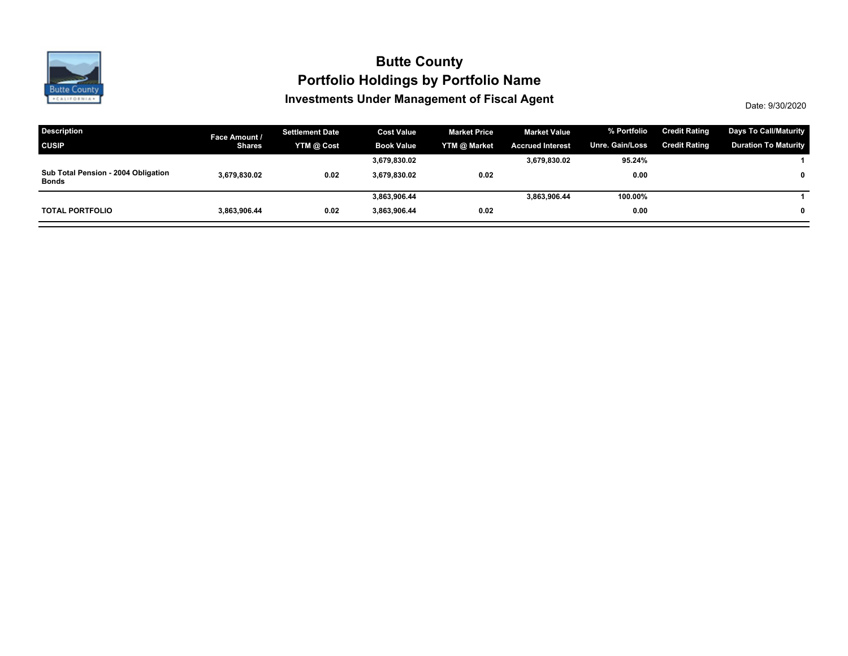

## **Investments Under Management of Fiscal Agent Portfolio Holdings by Portfolio Name Butte County**

Date: 9/30/2020

| <b>Description</b>                                  | Face Amount / | <b>Settlement Date</b> | <b>Cost Value</b> | <b>Market Price</b> | <b>Market Value</b>     | % Portfolio     | <b>Credit Rating</b> | <b>Days To Call/Maturity</b> |
|-----------------------------------------------------|---------------|------------------------|-------------------|---------------------|-------------------------|-----------------|----------------------|------------------------------|
| <b>CUSIP</b>                                        | <b>Shares</b> | YTM @ Cost             | <b>Book Value</b> | YTM @ Market        | <b>Accrued Interest</b> | Unre. Gain/Loss | <b>Credit Rating</b> | <b>Duration To Maturity</b>  |
|                                                     |               |                        | 3,679,830.02      |                     | 3,679,830.02            | 95.24%          |                      |                              |
| Sub Total Pension - 2004 Obligation<br><b>Bonds</b> | 3.679.830.02  | 0.02                   | 3.679.830.02      | 0.02                |                         | 0.00            |                      | $\mathbf{0}$                 |
|                                                     |               |                        | 3,863,906.44      |                     | 3,863,906.44            | 100.00%         |                      |                              |
| <b>TOTAL PORTFOLIO</b>                              | 3.863.906.44  | 0.02                   | 3.863.906.44      | 0.02                |                         | 0.00            |                      | $\mathbf{0}$                 |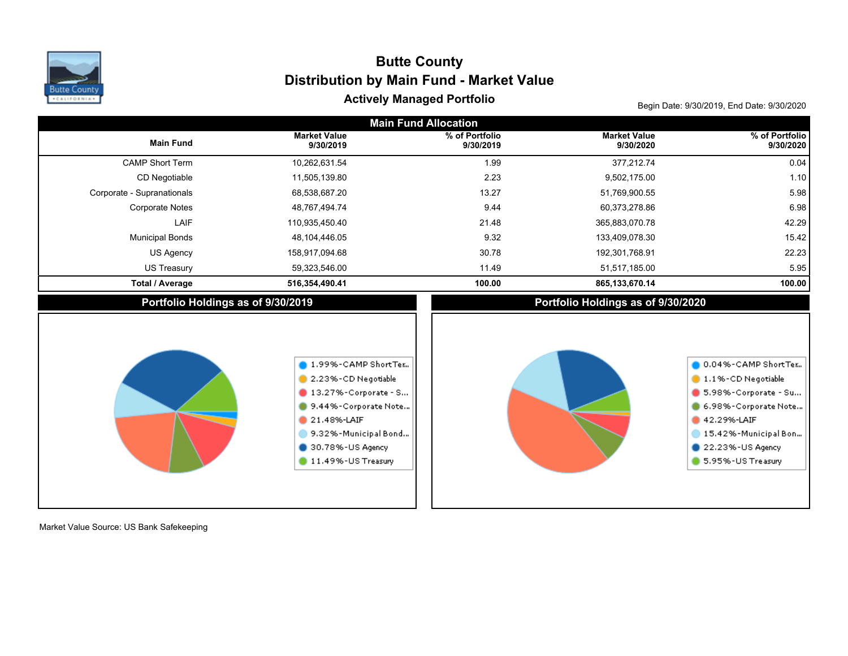

# Actively Managed Portfolio **Actively Managed Portfolio Begin Date: 9/30/2019, End Date: 9/30/2020 Distribution by Main Fund - Market Value Butte County**

| <b>Main Fund Allocation</b>        |                                                                                                                                                                                            |                             |                                    |                                                                                                                                                                           |  |  |  |  |  |
|------------------------------------|--------------------------------------------------------------------------------------------------------------------------------------------------------------------------------------------|-----------------------------|------------------------------------|---------------------------------------------------------------------------------------------------------------------------------------------------------------------------|--|--|--|--|--|
| <b>Main Fund</b>                   | <b>Market Value</b><br>9/30/2019                                                                                                                                                           | % of Portfolio<br>9/30/2019 | <b>Market Value</b><br>9/30/2020   | % of Portfolio<br>9/30/2020                                                                                                                                               |  |  |  |  |  |
| <b>CAMP Short Term</b>             | 10,262,631.54                                                                                                                                                                              | 1.99                        | 377,212.74                         | 0.04                                                                                                                                                                      |  |  |  |  |  |
| CD Negotiable                      | 11,505,139.80                                                                                                                                                                              | 2.23                        | 9,502,175.00                       | 1.10                                                                                                                                                                      |  |  |  |  |  |
| Corporate - Supranationals         | 68,538,687.20                                                                                                                                                                              | 13.27                       | 51,769,900.55                      | 5.98                                                                                                                                                                      |  |  |  |  |  |
| <b>Corporate Notes</b>             | 48,767,494.74                                                                                                                                                                              | 9.44                        | 60,373,278.86                      | 6.98                                                                                                                                                                      |  |  |  |  |  |
| LAIF                               | 110,935,450.40                                                                                                                                                                             | 21.48                       | 365,883,070.78                     | 42.29                                                                                                                                                                     |  |  |  |  |  |
| <b>Municipal Bonds</b>             | 48,104,446.05                                                                                                                                                                              | 9.32                        | 133,409,078.30                     | 15.42                                                                                                                                                                     |  |  |  |  |  |
| US Agency                          | 158,917,094.68                                                                                                                                                                             | 30.78                       | 192,301,768.91                     | 22.23                                                                                                                                                                     |  |  |  |  |  |
| <b>US Treasury</b>                 | 59,323,546.00                                                                                                                                                                              | 11.49                       | 51,517,185.00                      | 5.95                                                                                                                                                                      |  |  |  |  |  |
| <b>Total / Average</b>             | 516,354,490.41                                                                                                                                                                             | 100.00                      | 865, 133, 670. 14                  | 100.00                                                                                                                                                                    |  |  |  |  |  |
| Portfolio Holdings as of 9/30/2019 |                                                                                                                                                                                            |                             | Portfolio Holdings as of 9/30/2020 |                                                                                                                                                                           |  |  |  |  |  |
|                                    | 1.99%-CAMP ShortTer<br>2.23%-CD Negotiable<br>$\blacksquare$ 13.27%-Corporate - S<br>9.44%-Corporate Note<br>21.48%-LAIF<br>9.32%-Municipal Bond<br>30.78%-US Agency<br>11.49%-US Treasury |                             |                                    | 0.04%-CAMP ShortTer<br>1.1%-CD Negotiable<br>5.98%-Corporate - Su<br>6.98%-Corporate Note<br>42.29%-LAIF<br>15.42%-Municipal Bon<br>22.23%-US Agency<br>5.95%-US Treasury |  |  |  |  |  |

Market Value Source: US Bank Safekeeping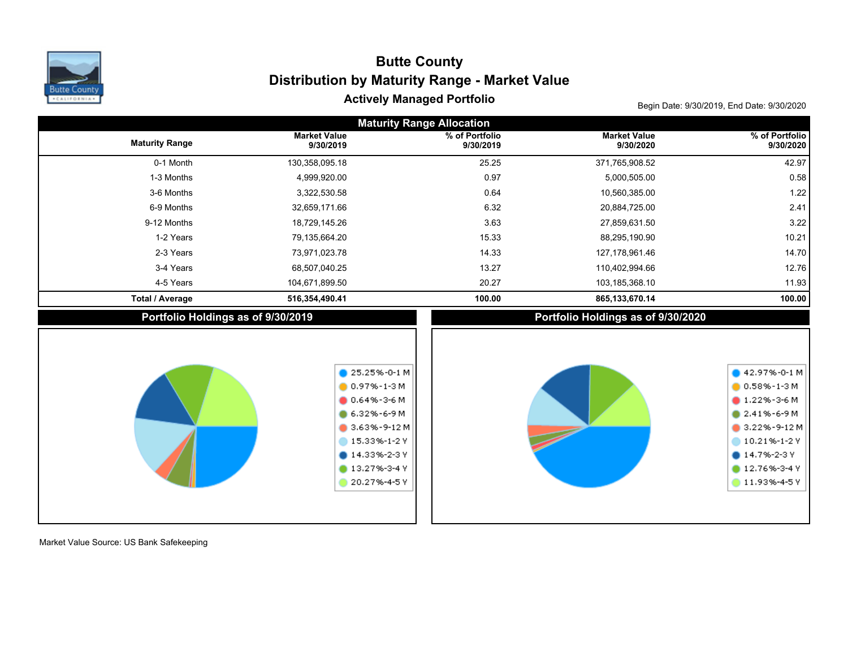

# Actively Managed Portfolio **Actively Managed Portfolio Begin Date: 9/30/2019, End Date: 9/30/2020 Distribution by Maturity Range - Market Value Butte County**

| <b>Maturity Range Allocation</b> |                                    |                                                                                                                                                                                                   |                                    |                                                                                                                                                                      |  |  |  |  |  |  |
|----------------------------------|------------------------------------|---------------------------------------------------------------------------------------------------------------------------------------------------------------------------------------------------|------------------------------------|----------------------------------------------------------------------------------------------------------------------------------------------------------------------|--|--|--|--|--|--|
| <b>Maturity Range</b>            | <b>Market Value</b><br>9/30/2019   | % of Portfolio<br>9/30/2019                                                                                                                                                                       | <b>Market Value</b><br>9/30/2020   | % of Portfolio<br>9/30/2020                                                                                                                                          |  |  |  |  |  |  |
| 0-1 Month                        | 130,358,095.18                     | 25.25                                                                                                                                                                                             | 371,765,908.52                     | 42.97                                                                                                                                                                |  |  |  |  |  |  |
| 1-3 Months                       | 4,999,920.00                       | 0.97                                                                                                                                                                                              | 5,000,505.00                       | 0.58                                                                                                                                                                 |  |  |  |  |  |  |
| 3-6 Months                       | 3,322,530.58                       | 0.64                                                                                                                                                                                              | 10,560,385.00                      | 1.22                                                                                                                                                                 |  |  |  |  |  |  |
| 6-9 Months                       | 32,659,171.66                      | 6.32                                                                                                                                                                                              | 20,884,725.00                      | 2.41                                                                                                                                                                 |  |  |  |  |  |  |
| 9-12 Months                      | 18,729,145.26                      | 3.63                                                                                                                                                                                              | 27,859,631.50                      | 3.22                                                                                                                                                                 |  |  |  |  |  |  |
| 1-2 Years                        | 79,135,664.20                      | 15.33                                                                                                                                                                                             | 88,295,190.90                      | 10.21                                                                                                                                                                |  |  |  |  |  |  |
| 2-3 Years                        | 73,971,023.78                      | 14.33                                                                                                                                                                                             | 127,178,961.46                     | 14.70                                                                                                                                                                |  |  |  |  |  |  |
| 3-4 Years                        | 68,507,040.25                      | 13.27                                                                                                                                                                                             | 110,402,994.66                     | 12.76                                                                                                                                                                |  |  |  |  |  |  |
| 4-5 Years                        | 104,671,899.50                     | 20.27                                                                                                                                                                                             | 103,185,368.10                     | 11.93                                                                                                                                                                |  |  |  |  |  |  |
| <b>Total / Average</b>           | 516,354,490.41                     | 100.00                                                                                                                                                                                            | 865,133,670.14                     | 100.00                                                                                                                                                               |  |  |  |  |  |  |
|                                  | Portfolio Holdings as of 9/30/2019 |                                                                                                                                                                                                   | Portfolio Holdings as of 9/30/2020 |                                                                                                                                                                      |  |  |  |  |  |  |
|                                  |                                    | $\bigcirc$ 25.25%-0-1 M<br>$0.97% - 1 - 3M$<br>$0.64\% - 3 - 6M$<br>$6.32\% - 6 - 9M$<br>$\bullet$ 3.63%-9-12 M<br>15.33%-1-2Y<br>$\bullet$ 14.33%-2-3 Y<br>$\bullet$ 13.27%-3-4 Y<br>20.27%-4-5Y |                                    | $42.97% -0-1 M$<br>$0.58\% - 1 - 3 M$<br>$1.22\% - 3 - 6M$<br>$2.41\% - 6 - 9M$<br>3.22%-9-12M<br>10.21%-1-2Y<br>$014.7% - 2-3V$<br>$12.76% - 3 - 4V$<br>11.93%-4-5Y |  |  |  |  |  |  |

Market Value Source: US Bank Safekeeping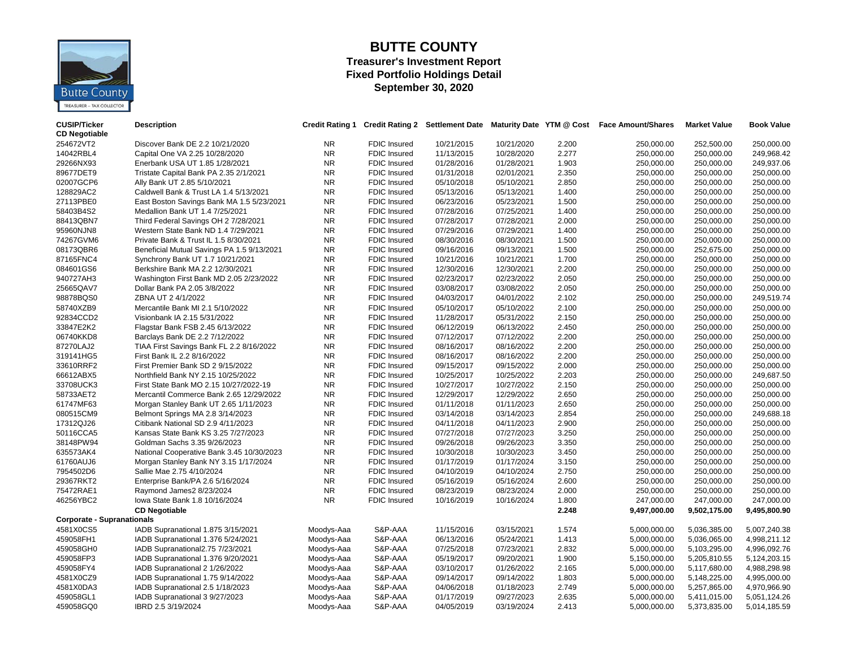

### **BUTTE COUNTY Treasurer's Investment Report Fixed Portfolio Holdings Detail September 30, 2020**

| <b>CUSIP/Ticker</b><br><b>CD Negotiable</b> | <b>Description</b>                         | <b>Credit Rating 1</b> |                                     |                          |                          |                | Credit Rating 2 Settlement Date Maturity Date YTM @ Cost Face Amount/Shares | <b>Market Value</b>          | <b>Book Value</b>            |
|---------------------------------------------|--------------------------------------------|------------------------|-------------------------------------|--------------------------|--------------------------|----------------|-----------------------------------------------------------------------------|------------------------------|------------------------------|
| 254672VT2                                   | Discover Bank DE 2.2 10/21/2020            | <b>NR</b>              | <b>FDIC Insured</b>                 | 10/21/2015               | 10/21/2020               | 2.200          | 250.000.00                                                                  | 252,500.00                   | 250,000.00                   |
| 14042RBL4                                   | Capital One VA 2.25 10/28/2020             | NR                     | <b>FDIC Insured</b>                 | 11/13/2015               | 10/28/2020               | 2.277          | 250,000.00                                                                  | 250,000.00                   | 249,968.42                   |
| 29266NX93                                   | Enerbank USA UT 1.85 1/28/2021             | <b>NR</b>              | <b>FDIC Insured</b>                 | 01/28/2016               | 01/28/2021               | 1.903          | 250,000.00                                                                  | 250,000.00                   | 249,937.06                   |
| 89677DET9                                   | Tristate Capital Bank PA 2.35 2/1/2021     | <b>NR</b>              | FDIC Insured                        | 01/31/2018               | 02/01/2021               | 2.350          | 250,000.00                                                                  | 250,000.00                   | 250,000.00                   |
| 02007GCP6                                   | Ally Bank UT 2.85 5/10/2021                | <b>NR</b>              | <b>FDIC Insured</b>                 | 05/10/2018               | 05/10/2021               | 2.850          | 250,000.00                                                                  | 250,000.00                   | 250,000.00                   |
| 128829AC2                                   | Caldwell Bank & Trust LA 1.4 5/13/2021     | <b>NR</b>              | <b>FDIC Insured</b>                 | 05/13/2016               | 05/13/2021               | 1.400          | 250,000.00                                                                  | 250,000.00                   | 250,000.00                   |
| 27113PBE0                                   | East Boston Savings Bank MA 1.5 5/23/2021  | <b>NR</b>              | <b>FDIC Insured</b>                 | 06/23/2016               | 05/23/2021               | 1.500          | 250,000.00                                                                  | 250,000.00                   | 250,000.00                   |
| 58403B4S2                                   | Medallion Bank UT 1.4 7/25/2021            | <b>NR</b>              | <b>FDIC Insured</b>                 | 07/28/2016               | 07/25/2021               | 1.400          | 250,000.00                                                                  | 250,000.00                   | 250,000.00                   |
| 88413QBN7                                   | Third Federal Savings OH 2 7/28/2021       | <b>NR</b>              | <b>FDIC Insured</b>                 | 07/28/2017               | 07/28/2021               | 2.000          | 250,000.00                                                                  | 250,000.00                   | 250,000.00                   |
| 95960NJN8                                   | Western State Bank ND 1.4 7/29/2021        | NR                     | <b>FDIC Insured</b>                 | 07/29/2016               | 07/29/2021               | 1.400          | 250,000.00                                                                  | 250,000.00                   | 250,000.00                   |
| 74267GVM6                                   | Private Bank & Trust IL 1.5 8/30/2021      | NR                     | <b>FDIC Insured</b>                 | 08/30/2016               | 08/30/2021               | 1.500          | 250,000.00                                                                  | 250,000.00                   | 250,000.00                   |
| 08173QBR6                                   | Beneficial Mutual Savings PA 1.5 9/13/2021 | <b>NR</b>              | <b>FDIC Insured</b>                 | 09/16/2016               | 09/13/2021               | 1.500          | 250,000.00                                                                  | 252,675.00                   | 250,000.00                   |
| 87165FNC4                                   | Synchrony Bank UT 1.7 10/21/2021           | <b>NR</b>              | <b>FDIC Insured</b>                 | 10/21/2016               | 10/21/2021               | 1.700          | 250,000.00                                                                  | 250,000.00                   | 250,000.00                   |
| 084601GS6                                   | Berkshire Bank MA 2.2 12/30/2021           | <b>NR</b>              | <b>FDIC Insured</b>                 | 12/30/2016               | 12/30/2021               | 2.200          | 250,000.00                                                                  | 250,000.00                   | 250,000.00                   |
| 940727AH3                                   | Washington First Bank MD 2.05 2/23/2022    | <b>NR</b>              | FDIC Insured                        | 02/23/2017               | 02/23/2022               | 2.050          | 250,000.00                                                                  | 250,000.00                   | 250,000.00                   |
| 25665QAV7                                   | Dollar Bank PA 2.05 3/8/2022               | <b>NR</b>              | <b>FDIC Insured</b>                 | 03/08/2017               | 03/08/2022               | 2.050          | 250,000.00                                                                  | 250,000.00                   | 250,000.00                   |
| 98878BQS0                                   | ZBNA UT 2 4/1/2022                         | <b>NR</b>              | <b>FDIC Insured</b>                 | 04/03/2017               | 04/01/2022               | 2.102          | 250,000.00                                                                  | 250,000.00                   | 249,519.74                   |
| 58740XZB9                                   | Mercantile Bank MI 2.1 5/10/2022           | <b>NR</b>              | <b>FDIC Insured</b>                 | 05/10/2017               | 05/10/2022               | 2.100          | 250,000.00                                                                  | 250,000.00                   | 250,000.00                   |
| 92834CCD2                                   | Visionbank IA 2.15 5/31/2022               | <b>NR</b>              | <b>FDIC Insured</b>                 | 11/28/2017               | 05/31/2022               | 2.150          | 250,000.00                                                                  | 250,000.00                   | 250,000.00                   |
| 33847E2K2                                   | Flagstar Bank FSB 2.45 6/13/2022           | <b>NR</b>              | <b>FDIC Insured</b>                 | 06/12/2019               | 06/13/2022               | 2.450          | 250,000.00                                                                  | 250,000.00                   | 250,000.00                   |
| 06740KKD8                                   | Barclays Bank DE 2.2 7/12/2022             | <b>NR</b>              | <b>FDIC Insured</b>                 | 07/12/2017               | 07/12/2022               | 2.200          | 250,000.00                                                                  | 250,000.00                   | 250,000.00                   |
| 87270LAJ2                                   | TIAA First Savings Bank FL 2.2 8/16/2022   | NR                     | <b>FDIC Insured</b>                 | 08/16/2017               | 08/16/2022               | 2.200          | 250,000.00                                                                  | 250,000.00                   | 250,000.00                   |
| 319141HG5                                   | First Bank IL 2.2 8/16/2022                | <b>NR</b>              | <b>FDIC Insured</b>                 | 08/16/2017               | 08/16/2022               | 2.200          | 250,000.00                                                                  | 250,000.00                   | 250,000.00                   |
| 33610RRF2                                   | First Premier Bank SD 2 9/15/2022          | <b>NR</b>              | <b>FDIC Insured</b>                 | 09/15/2017               | 09/15/2022               | 2.000          | 250,000.00                                                                  | 250,000.00                   | 250,000.00                   |
| 66612ABX5                                   | Northfield Bank NY 2.15 10/25/2022         | <b>NR</b>              | <b>FDIC Insured</b>                 | 10/25/2017               | 10/25/2022               | 2.203          | 250,000.00                                                                  | 250,000.00                   | 249,687.50                   |
| 33708UCK3                                   | First State Bank MO 2.15 10/27/2022-19     | NR                     | <b>FDIC Insured</b>                 | 10/27/2017               | 10/27/2022               | 2.150          | 250,000.00                                                                  | 250,000.00                   | 250,000.00                   |
| 58733AET2                                   | Mercantil Commerce Bank 2.65 12/29/2022    | <b>NR</b>              | FDIC Insured                        | 12/29/2017               | 12/29/2022               | 2.650          | 250,000.00                                                                  | 250,000.00                   | 250,000.00                   |
| 61747MF63                                   | Morgan Stanley Bank UT 2.65 1/11/2023      | NR                     | <b>FDIC Insured</b>                 | 01/11/2018               | 01/11/2023               | 2.650          | 250,000.00                                                                  | 250,000.00                   | 250,000.00                   |
| 080515CM9                                   | Belmont Springs MA 2.8 3/14/2023           | <b>NR</b>              | <b>FDIC Insured</b>                 | 03/14/2018               | 03/14/2023               | 2.854          | 250,000.00                                                                  | 250,000.00                   | 249,688.18                   |
| 17312QJ26                                   | Citibank National SD 2.9 4/11/2023         | <b>NR</b>              | <b>FDIC Insured</b>                 | 04/11/2018               | 04/11/2023               | 2.900          | 250,000.00                                                                  | 250,000.00                   | 250,000.00                   |
| 50116CCA5                                   | Kansas State Bank KS 3.25 7/27/2023        | <b>NR</b>              | FDIC Insured                        | 07/27/2018               | 07/27/2023               | 3.250          | 250,000.00                                                                  | 250,000.00                   | 250,000.00                   |
| 38148PW94                                   | Goldman Sachs 3.35 9/26/2023               | <b>NR</b>              | <b>FDIC Insured</b>                 | 09/26/2018               | 09/26/2023               | 3.350          | 250,000.00                                                                  | 250,000.00                   | 250,000.00                   |
| 635573AK4                                   | National Cooperative Bank 3.45 10/30/2023  | <b>NR</b>              | FDIC Insured                        | 10/30/2018               | 10/30/2023               | 3.450          | 250,000.00                                                                  | 250,000.00                   | 250,000.00                   |
| 61760AUJ6                                   |                                            | NR                     | <b>FDIC Insured</b>                 | 01/17/2019               | 01/17/2024               | 3.150          |                                                                             |                              | 250,000.00                   |
|                                             | Morgan Stanley Bank NY 3.15 1/17/2024      | NR                     |                                     |                          |                          |                | 250,000.00                                                                  | 250,000.00                   |                              |
| 7954502D6<br>29367RKT2                      | Sallie Mae 2.75 4/10/2024                  | <b>NR</b>              | FDIC Insured<br><b>FDIC Insured</b> | 04/10/2019<br>05/16/2019 | 04/10/2024<br>05/16/2024 | 2.750<br>2.600 | 250,000.00                                                                  | 250,000.00                   | 250,000.00                   |
|                                             | Enterprise Bank/PA 2.6 5/16/2024           | <b>NR</b>              |                                     |                          |                          |                | 250,000.00                                                                  | 250,000.00                   | 250,000.00                   |
| 75472RAE1                                   | Raymond James2 8/23/2024                   |                        | <b>FDIC Insured</b>                 | 08/23/2019               | 08/23/2024               | 2.000          | 250,000.00                                                                  | 250,000.00                   | 250,000.00                   |
| 46256YBC2                                   | lowa State Bank 1.8 10/16/2024             | NR                     | <b>FDIC Insured</b>                 | 10/16/2019               | 10/16/2024               | 1.800          | 247,000.00                                                                  | 247,000.00                   | 247,000.00                   |
| <b>Corporate - Supranationals</b>           | <b>CD Negotiable</b>                       |                        |                                     |                          |                          | 2.248          | 9,497,000.00                                                                | 9,502,175.00                 | 9,495,800.90                 |
| 4581X0CS5                                   |                                            |                        | S&P-AAA                             | 11/15/2016               | 03/15/2021               | 1.574          | 5,000,000.00                                                                | 5,036,385.00                 |                              |
|                                             | IADB Supranational 1.875 3/15/2021         | Moodys-Aaa             | S&P-AAA                             |                          | 05/24/2021               |                |                                                                             |                              | 5,007,240.38                 |
| 459058FH1<br>459058GH0                      | IADB Supranational 1.376 5/24/2021         | Moodys-Aaa             | S&P-AAA                             | 06/13/2016<br>07/25/2018 | 07/23/2021               | 1.413<br>2.832 | 5,000,000.00<br>5,000,000.00                                                | 5,036,065.00<br>5,103,295.00 | 4,998,211.12<br>4,996,092.76 |
|                                             | IADB Supranational2.75 7/23/2021           | Moodys-Aaa             |                                     |                          |                          |                |                                                                             |                              |                              |
| 459058FP3                                   | IADB Supranational 1.376 9/20/2021         | Moodys-Aaa             | S&P-AAA                             | 05/19/2017               | 09/20/2021               | 1.900          | 5,150,000.00                                                                | 5,205,810.55                 | 5,124,203.15                 |
| 459058FY4                                   | IADB Supranational 2 1/26/2022             | Moodys-Aaa             | S&P-AAA                             | 03/10/2017               | 01/26/2022               | 2.165          | 5,000,000.00                                                                | 5,117,680.00                 | 4,988,298.98                 |
| 4581X0CZ9                                   | IADB Supranational 1.75 9/14/2022          | Moodys-Aaa             | S&P-AAA                             | 09/14/2017               | 09/14/2022               | 1.803          | 5,000,000.00                                                                | 5,148,225.00                 | 4,995,000.00                 |
| 4581X0DA3                                   | IADB Supranational 2.5 1/18/2023           | Moodys-Aaa             | S&P-AAA                             | 04/06/2018               | 01/18/2023               | 2.749          | 5,000,000.00                                                                | 5,257,865.00                 | 4,970,966.90                 |
| 459058GL1                                   | IADB Supranational 3 9/27/2023             | Moodys-Aaa             | S&P-AAA                             | 01/17/2019               | 09/27/2023               | 2.635          | 5,000,000.00                                                                | 5,411,015.00                 | 5,051,124.26                 |
| 459058GQ0                                   | IBRD 2.5 3/19/2024                         | Moodys-Aaa             | S&P-AAA                             | 04/05/2019               | 03/19/2024               | 2.413          | 5,000,000.00                                                                | 5,373,835.00                 | 5,014,185.59                 |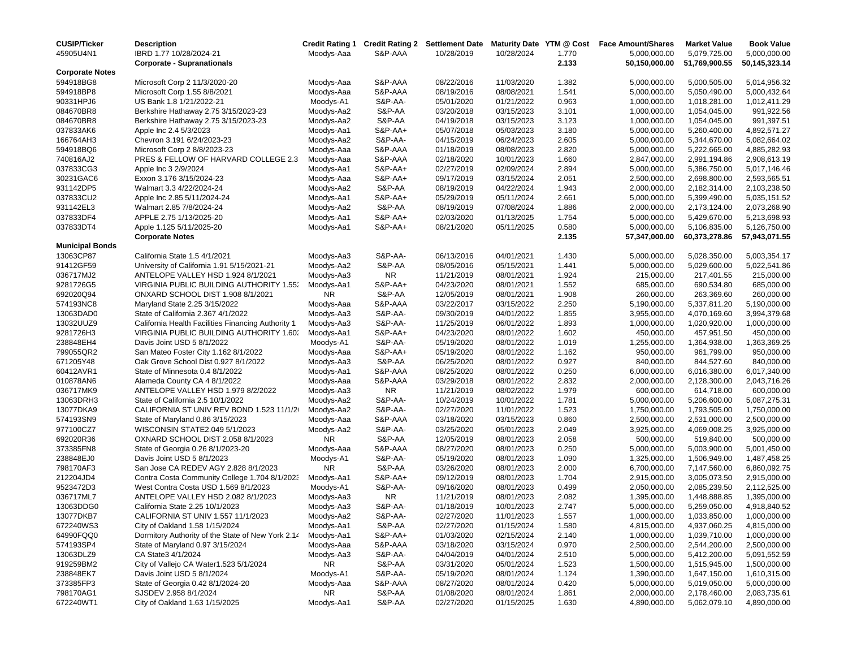| <b>CUSIP/Ticker</b>    | <b>Description</b>                                 |            |           |            |            |       | Credit Rating 1 Credit Rating 2 Settlement Date Maturity Date YTM @ Cost Face Amount/Shares | <b>Market Value</b> | <b>Book Value</b> |
|------------------------|----------------------------------------------------|------------|-----------|------------|------------|-------|---------------------------------------------------------------------------------------------|---------------------|-------------------|
| 45905U4N1              | IBRD 1.77 10/28/2024-21                            | Moodys-Aaa | S&P-AAA   | 10/28/2019 | 10/28/2024 | 1.770 | 5,000,000.00                                                                                | 5,079,725.00        | 5,000,000.00      |
|                        | <b>Corporate - Supranationals</b>                  |            |           |            |            | 2.133 | 50,150,000.00                                                                               | 51,769,900.55       | 50,145,323.14     |
| <b>Corporate Notes</b> |                                                    |            |           |            |            |       |                                                                                             |                     |                   |
| 594918BG8              | Microsoft Corp 2 11/3/2020-20                      | Moodys-Aaa | S&P-AAA   | 08/22/2016 | 11/03/2020 | 1.382 | 5,000,000.00                                                                                | 5,000,505.00        | 5,014,956.32      |
| 594918BP8              | Microsoft Corp 1.55 8/8/2021                       | Moodys-Aaa | S&P-AAA   | 08/19/2016 | 08/08/2021 | 1.541 | 5,000,000.00                                                                                | 5,050,490.00        | 5,000,432.64      |
| 90331HPJ6              | US Bank 1.8 1/21/2022-21                           | Moodys-A1  | S&P-AA-   | 05/01/2020 | 01/21/2022 | 0.963 | 1,000,000.00                                                                                | 1,018,281.00        | 1,012,411.29      |
| 084670BR8              | Berkshire Hathaway 2.75 3/15/2023-23               | Moodys-Aa2 | S&P-AA    | 03/20/2018 | 03/15/2023 | 3.101 | 1,000,000.00                                                                                | 1,054,045.00        | 991,922.56        |
| 084670BR8              | Berkshire Hathaway 2.75 3/15/2023-23               | Moodys-Aa2 | S&P-AA    | 04/19/2018 | 03/15/2023 | 3.123 | 1,000,000.00                                                                                | 1,054,045.00        | 991,397.51        |
| 037833AK6              | Apple Inc 2.4 5/3/2023                             | Moodys-Aa1 | S&P-AA+   | 05/07/2018 | 05/03/2023 | 3.180 | 5,000,000.00                                                                                | 5,260,400.00        | 4,892,571.27      |
| 166764AH3              | Chevron 3.191 6/24/2023-23                         | Moodys-Aa2 | S&P-AA-   | 04/15/2019 | 06/24/2023 | 2.605 | 5,000,000.00                                                                                | 5,344,670.00        | 5,082,664.02      |
| 594918BQ6              | Microsoft Corp 2 8/8/2023-23                       | Moodys-Aaa | S&P-AAA   | 01/18/2019 | 08/08/2023 | 2.820 | 5,000,000.00                                                                                | 5,222,665.00        | 4,885,282.93      |
| 740816AJ2              | PRES & FELLOW OF HARVARD COLLEGE 2.3               | Moodys-Aaa | S&P-AAA   | 02/18/2020 | 10/01/2023 | 1.660 | 2,847,000.00                                                                                | 2,991,194.86        | 2,908,613.19      |
| 037833CG3              | Apple Inc 3 2/9/2024                               | Moodys-Aa1 | S&P-AA+   | 02/27/2019 | 02/09/2024 | 2.894 | 5,000,000.00                                                                                | 5,386,750.00        | 5,017,146.46      |
| 30231GAC6              | Exxon 3.176 3/15/2024-23                           | Moodys-Aaa | S&P-AA+   | 09/17/2019 | 03/15/2024 | 2.051 | 2,500,000.00                                                                                | 2,698,800.00        | 2,593,565.51      |
| 931142DP5              | Walmart 3.3 4/22/2024-24                           | Moodys-Aa2 | S&P-AA    | 08/19/2019 | 04/22/2024 | 1.943 | 2,000,000.00                                                                                | 2,182,314.00        | 2,103,238.50      |
| 037833CU2              | Apple Inc 2.85 5/11/2024-24                        | Moodys-Aa1 | S&P-AA+   | 05/29/2019 | 05/11/2024 | 2.661 | 5,000,000.00                                                                                | 5,399,490.00        | 5,035,151.52      |
| 931142EL3              | Walmart 2.85 7/8/2024-24                           | Moodys-Aa2 | S&P-AA    | 08/19/2019 | 07/08/2024 | 1.886 | 2,000,000.00                                                                                | 2,173,124.00        | 2,073,268.90      |
| 037833DF4              | APPLE 2.75 1/13/2025-20                            | Moodys-Aa1 | S&P-AA+   | 02/03/2020 | 01/13/2025 | 1.754 | 5,000,000.00                                                                                | 5,429,670.00        | 5,213,698.93      |
| 037833DT4              | Apple 1.125 5/11/2025-20                           | Moodys-Aa1 | S&P-AA+   | 08/21/2020 | 05/11/2025 | 0.580 | 5,000,000.00                                                                                | 5,106,835.00        | 5,126,750.00      |
|                        | <b>Corporate Notes</b>                             |            |           |            |            | 2.135 | 57,347,000.00                                                                               | 60,373,278.86       | 57,943,071.55     |
| <b>Municipal Bonds</b> |                                                    |            |           |            |            |       |                                                                                             |                     |                   |
| 13063CP87              | California State 1.5 4/1/2021                      | Moodys-Aa3 | S&P-AA-   | 06/13/2016 | 04/01/2021 | 1.430 | 5,000,000.00                                                                                | 5,028,350.00        | 5,003,354.17      |
| 91412GF59              | University of California 1.91 5/15/2021-21         | Moodys-Aa2 | S&P-AA    | 08/05/2016 | 05/15/2021 | 1.441 | 5,000,000.00                                                                                | 5,029,600.00        | 5,022,541.86      |
| 036717MJ2              | ANTELOPE VALLEY HSD 1.924 8/1/2021                 | Moodys-Aa3 | <b>NR</b> | 11/21/2019 | 08/01/2021 | 1.924 | 215,000.00                                                                                  | 217,401.55          | 215,000.00        |
| 9281726G5              | VIRGINIA PUBLIC BUILDING AUTHORITY 1.55.           | Moodys-Aa1 | S&P-AA+   | 04/23/2020 | 08/01/2021 | 1.552 | 685,000.00                                                                                  | 690,534.80          | 685,000.00        |
| 692020Q94              | ONXARD SCHOOL DIST 1.908 8/1/2021                  | NR.        | S&P-AA    | 12/05/2019 | 08/01/2021 | 1.908 | 260,000.00                                                                                  | 263,369.60          | 260,000.00        |
| 574193NC8              | Maryland State 2.25 3/15/2022                      | Moodys-Aaa | S&P-AAA   | 03/22/2017 | 03/15/2022 | 2.250 | 5,190,000.00                                                                                | 5,337,811.20        | 5,190,000.00      |
| 13063DAD0              | State of California 2.367 4/1/2022                 | Moodys-Aa3 | S&P-AA-   | 09/30/2019 | 04/01/2022 | 1.855 | 3,955,000.00                                                                                | 4,070,169.60        | 3,994,379.68      |
| 13032UUZ9              | California Health Facilities Financing Authority 1 | Moodys-Aa3 | S&P-AA-   | 11/25/2019 | 06/01/2022 | 1.893 | 1,000,000.00                                                                                | 1,020,920.00        | 1,000,000.00      |
| 9281726H3              | VIRGINIA PUBLIC BUILDING AUTHORITY 1.60.           | Moodys-Aa1 | S&P-AA+   | 04/23/2020 | 08/01/2022 | 1.602 | 450,000.00                                                                                  | 457,951.50          | 450,000.00        |
| 238848EH4              | Davis Joint USD 5 8/1/2022                         | Moodys-A1  | S&P-AA-   | 05/19/2020 | 08/01/2022 | 1.019 | 1,255,000.00                                                                                | 1,364,938.00        | 1,363,369.25      |
| 799055QR2              | San Mateo Foster City 1.162 8/1/2022               | Moodys-Aaa | S&P-AA+   | 05/19/2020 | 08/01/2022 | 1.162 | 950,000.00                                                                                  | 961,799.00          | 950,000.00        |
| 671205Y48              | Oak Grove School Dist 0.927 8/1/2022               | Moodys-Aa3 | S&P-AA    | 06/25/2020 | 08/01/2022 | 0.927 | 840,000.00                                                                                  | 844,527.60          | 840,000.00        |
| 60412AVR1              | State of Minnesota 0.4 8/1/2022                    | Moodys-Aa1 | S&P-AAA   | 08/25/2020 | 08/01/2022 | 0.250 | 6,000,000.00                                                                                | 6,016,380.00        | 6,017,340.00      |
| 010878AN6              | Alameda County CA 4 8/1/2022                       | Moodys-Aaa | S&P-AAA   | 03/29/2018 | 08/01/2022 | 2.832 | 2,000,000.00                                                                                | 2,128,300.00        | 2,043,716.26      |
| 036717MK9              | ANTELOPE VALLEY HSD 1.979 8/2/2022                 | Moodys-Aa3 | <b>NR</b> | 11/21/2019 | 08/02/2022 | 1.979 | 600,000.00                                                                                  | 614,718.00          | 600,000.00        |
| 13063DRH3              | State of California 2.5 10/1/2022                  | Moodys-Aa2 | S&P-AA-   | 10/24/2019 | 10/01/2022 | 1.781 | 5,000,000.00                                                                                | 5,206,600.00        | 5,087,275.31      |
| 13077DKA9              | CALIFORNIA ST UNIV REV BOND 1.523 11/1/2           | Moodys-Aa2 | S&P-AA-   | 02/27/2020 | 11/01/2022 | 1.523 | 1,750,000.00                                                                                | 1,793,505.00        | 1,750,000.00      |
| 574193SN9              | State of Maryland 0.86 3/15/2023                   | Moodys-Aaa | S&P-AAA   | 03/18/2020 | 03/15/2023 | 0.860 | 2,500,000.00                                                                                | 2,531,000.00        | 2,500,000.00      |
| 977100CZ7              | WISCONSIN STATE2.049 5/1/2023                      | Moodys-Aa2 | S&P-AA-   | 03/25/2020 | 05/01/2023 | 2.049 | 3,925,000.00                                                                                | 4,069,008.25        | 3,925,000.00      |
| 692020R36              | OXNARD SCHOOL DIST 2.058 8/1/2023                  | NR.        | S&P-AA    | 12/05/2019 | 08/01/2023 | 2.058 | 500,000.00                                                                                  | 519,840.00          | 500,000.00        |
| 373385FN8              | State of Georgia 0.26 8/1/2023-20                  | Moodys-Aaa | S&P-AAA   | 08/27/2020 | 08/01/2023 | 0.250 | 5,000,000.00                                                                                | 5,003,900.00        | 5,001,450.00      |
| 238848EJ0              | Davis Joint USD 5 8/1/2023                         | Moodys-A1  | S&P-AA-   | 05/19/2020 | 08/01/2023 | 1.090 | 1,325,000.00                                                                                | 1,506,949.00        | 1,487,458.25      |
| 798170AF3              | San Jose CA REDEV AGY 2.828 8/1/2023               | <b>NR</b>  | S&P-AA    | 03/26/2020 | 08/01/2023 | 2.000 | 6,700,000.00                                                                                | 7,147,560.00        | 6,860,092.75      |
| 212204JD4              | Contra Costa Community College 1.704 8/1/2023      | Moodys-Aa1 | S&P-AA+   | 09/12/2019 | 08/01/2023 | 1.704 | 2,915,000.00                                                                                | 3,005,073.50        | 2,915,000.00      |
| 9523472D3              | West Contra Costa USD 1.569 8/1/2023               | Moodys-A1  | S&P-AA-   | 09/16/2020 | 08/01/2023 | 0.499 | 2,050,000.00                                                                                | 2,085,239.50        | 2,112,525.00      |
| 036717ML7              | ANTELOPE VALLEY HSD 2.082 8/1/2023                 | Moodys-Aa3 | NR.       | 11/21/2019 | 08/01/2023 | 2.082 | 1,395,000.00                                                                                | 1,448,888.85        | 1,395,000.00      |
| 13063DDG0              | California State 2.25 10/1/2023                    | Moodys-Aa3 | S&P-AA-   | 01/18/2019 | 10/01/2023 | 2.747 | 5,000,000.00                                                                                | 5,259,050.00        | 4,918,840.52      |
| 13077DKB7              | CALIFORNIA ST UNIV 1.557 11/1/2023                 | Moodys-Aa2 | S&P-AA-   | 02/27/2020 | 11/01/2023 | 1.557 | 1,000,000.00                                                                                | 1,033,850.00        | 1,000,000.00      |
| 672240WS3              | City of Oakland 1.58 1/15/2024                     | Moodys-Aa1 | S&P-AA    | 02/27/2020 | 01/15/2024 | 1.580 | 4,815,000.00                                                                                | 4,937,060.25        | 4,815,000.00      |
| 64990FQQ0              | Dormitory Authority of the State of New York 2.14  | Moodys-Aa1 | S&P-AA+   | 01/03/2020 | 02/15/2024 | 2.140 | 1,000,000.00                                                                                | 1,039,710.00        | 1,000,000.00      |
| 574193SP4              | State of Maryland 0.97 3/15/2024                   | Moodys-Aaa | S&P-AAA   | 03/18/2020 | 03/15/2024 | 0.970 | 2,500,000.00                                                                                | 2,544,200.00        | 2,500,000.00      |
| 13063DLZ9              | CA State3 4/1/2024                                 | Moodys-Aa3 | S&P-AA-   | 04/04/2019 | 04/01/2024 | 2.510 | 5,000,000.00                                                                                | 5,412,200.00        | 5,091,552.59      |
| 919259BM2              | City of Vallejo CA Water1.523 5/1/2024             | NR         | S&P-AA    | 03/31/2020 | 05/01/2024 | 1.523 | 1,500,000.00                                                                                | 1,515,945.00        | 1,500,000.00      |
| 238848EK7              | Davis Joint USD 5 8/1/2024                         | Moodys-A1  | S&P-AA-   | 05/19/2020 | 08/01/2024 | 1.124 | 1,390,000.00                                                                                | 1,647,150.00        | 1,610,315.00      |
| 373385FP3              | State of Georgia 0.42 8/1/2024-20                  | Moodys-Aaa | S&P-AAA   | 08/27/2020 | 08/01/2024 | 0.420 | 5,000,000.00                                                                                | 5,019,050.00        | 5,000,000.00      |
| 798170AG1              | SJSDEV 2.958 8/1/2024                              | NR.        | S&P-AA    | 01/08/2020 | 08/01/2024 | 1.861 | 2,000,000.00                                                                                | 2,178,460.00        | 2,083,735.61      |
| 672240WT1              | City of Oakland 1.63 1/15/2025                     | Moodys-Aa1 | S&P-AA    | 02/27/2020 | 01/15/2025 | 1.630 | 4,890,000.00                                                                                | 5,062,079.10        | 4,890,000.00      |
|                        |                                                    |            |           |            |            |       |                                                                                             |                     |                   |